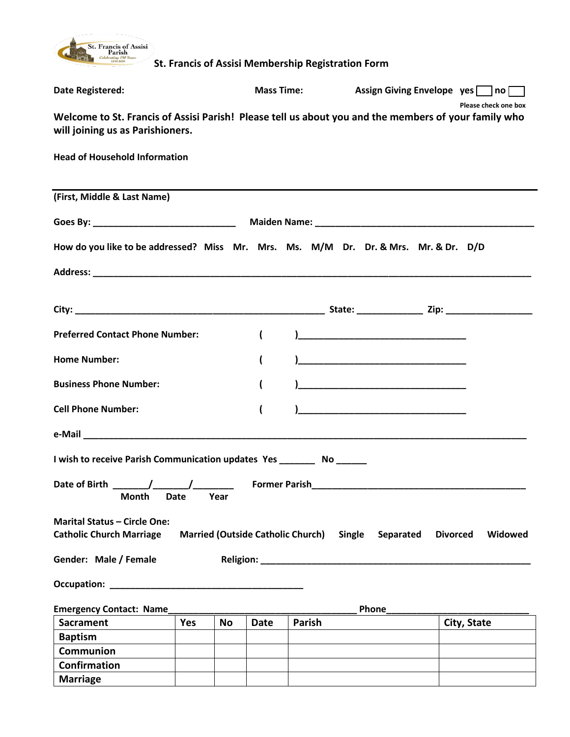

| <b>Date Registered:</b>                                                                                                                  |                  |                                          | <b>Mass Time:</b> |                                                                                                                                                                                                                                                                                                                                                                                                                                                                                        |                 | Assign Giving Envelope yes no |
|------------------------------------------------------------------------------------------------------------------------------------------|------------------|------------------------------------------|-------------------|----------------------------------------------------------------------------------------------------------------------------------------------------------------------------------------------------------------------------------------------------------------------------------------------------------------------------------------------------------------------------------------------------------------------------------------------------------------------------------------|-----------------|-------------------------------|
| Welcome to St. Francis of Assisi Parish! Please tell us about you and the members of your family who<br>will joining us as Parishioners. |                  |                                          |                   |                                                                                                                                                                                                                                                                                                                                                                                                                                                                                        |                 | Please check one box          |
| <b>Head of Household Information</b>                                                                                                     |                  |                                          |                   |                                                                                                                                                                                                                                                                                                                                                                                                                                                                                        |                 |                               |
| (First, Middle & Last Name)                                                                                                              |                  |                                          |                   |                                                                                                                                                                                                                                                                                                                                                                                                                                                                                        |                 |                               |
|                                                                                                                                          |                  |                                          |                   |                                                                                                                                                                                                                                                                                                                                                                                                                                                                                        |                 |                               |
| How do you like to be addressed? Miss Mr. Mrs. Ms. M/M Dr. Dr. & Mrs. Mr. & Dr. D/D                                                      |                  |                                          |                   |                                                                                                                                                                                                                                                                                                                                                                                                                                                                                        |                 |                               |
|                                                                                                                                          |                  |                                          |                   |                                                                                                                                                                                                                                                                                                                                                                                                                                                                                        |                 |                               |
|                                                                                                                                          |                  |                                          |                   |                                                                                                                                                                                                                                                                                                                                                                                                                                                                                        |                 |                               |
| <b>Preferred Contact Phone Number:</b>                                                                                                   |                  | $\overline{\mathcal{L}}$                 |                   |                                                                                                                                                                                                                                                                                                                                                                                                                                                                                        |                 |                               |
| <b>Home Number:</b>                                                                                                                      |                  | $\overline{\mathcal{L}}$                 |                   |                                                                                                                                                                                                                                                                                                                                                                                                                                                                                        |                 |                               |
| <b>Business Phone Number:</b>                                                                                                            |                  | $\overline{ }$                           |                   |                                                                                                                                                                                                                                                                                                                                                                                                                                                                                        |                 |                               |
| <b>Cell Phone Number:</b>                                                                                                                |                  | $\overline{\mathcal{L}}$                 |                   | $\begin{array}{cccccccccccccc} \multicolumn{2}{c}{} & \multicolumn{2}{c}{} & \multicolumn{2}{c}{} & \multicolumn{2}{c}{} & \multicolumn{2}{c}{} & \multicolumn{2}{c}{} & \multicolumn{2}{c}{} & \multicolumn{2}{c}{} & \multicolumn{2}{c}{} & \multicolumn{2}{c}{} & \multicolumn{2}{c}{} & \multicolumn{2}{c}{} & \multicolumn{2}{c}{} & \multicolumn{2}{c}{} & \multicolumn{2}{c}{} & \multicolumn{2}{c}{} & \multicolumn{2}{c}{} & \multicolumn{2}{c}{} & \multicolumn{2}{c}{} & \$ |                 |                               |
|                                                                                                                                          |                  |                                          |                   |                                                                                                                                                                                                                                                                                                                                                                                                                                                                                        |                 |                               |
| I wish to receive Parish Communication updates Yes ________ No ______                                                                    |                  |                                          |                   |                                                                                                                                                                                                                                                                                                                                                                                                                                                                                        |                 |                               |
| <b>Month Date Year</b>                                                                                                                   |                  |                                          |                   |                                                                                                                                                                                                                                                                                                                                                                                                                                                                                        |                 |                               |
| <b>Marital Status - Circle One:</b><br><b>Catholic Church Marriage</b>                                                                   |                  | <b>Married (Outside Catholic Church)</b> |                   | Single<br>Separated                                                                                                                                                                                                                                                                                                                                                                                                                                                                    | <b>Divorced</b> | Widowed                       |
| Gender: Male / Female                                                                                                                    |                  |                                          |                   |                                                                                                                                                                                                                                                                                                                                                                                                                                                                                        |                 |                               |
|                                                                                                                                          |                  |                                          |                   |                                                                                                                                                                                                                                                                                                                                                                                                                                                                                        |                 |                               |
| <b>Emergency Contact: Name</b>                                                                                                           |                  |                                          |                   | <b>Phone</b>                                                                                                                                                                                                                                                                                                                                                                                                                                                                           |                 |                               |
| <b>Sacrament</b>                                                                                                                         | Yes<br><b>No</b> | <b>Date</b>                              | <b>Parish</b>     |                                                                                                                                                                                                                                                                                                                                                                                                                                                                                        |                 | City, State                   |
| <b>Baptism</b>                                                                                                                           |                  |                                          |                   |                                                                                                                                                                                                                                                                                                                                                                                                                                                                                        |                 |                               |
| <b>Communion</b>                                                                                                                         |                  |                                          |                   |                                                                                                                                                                                                                                                                                                                                                                                                                                                                                        |                 |                               |
| <b>Confirmation</b>                                                                                                                      |                  |                                          |                   |                                                                                                                                                                                                                                                                                                                                                                                                                                                                                        |                 |                               |
| <b>Marriage</b>                                                                                                                          |                  |                                          |                   |                                                                                                                                                                                                                                                                                                                                                                                                                                                                                        |                 |                               |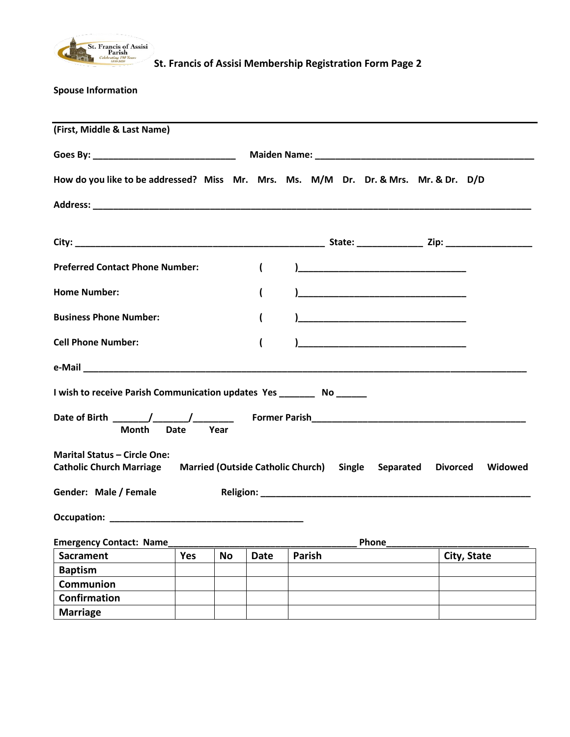

**Spouse Information**

| (First, Middle & Last Name)                                                                                                 |      |                          |               |                                   |             |
|-----------------------------------------------------------------------------------------------------------------------------|------|--------------------------|---------------|-----------------------------------|-------------|
|                                                                                                                             |      |                          |               |                                   |             |
| How do you like to be addressed? Miss Mr. Mrs. Ms. M/M Dr. Dr. & Mrs. Mr. & Dr. D/D                                         |      |                          |               |                                   |             |
|                                                                                                                             |      |                          |               |                                   |             |
|                                                                                                                             |      |                          |               |                                   |             |
| <b>Preferred Contact Phone Number:</b>                                                                                      |      | $\overline{ }$           |               |                                   |             |
| <b>Home Number:</b>                                                                                                         |      | (                        |               | <u>) ————————————————————————</u> |             |
| <b>Business Phone Number:</b>                                                                                               |      | (                        |               |                                   |             |
| <b>Cell Phone Number:</b>                                                                                                   |      | (                        |               |                                   |             |
|                                                                                                                             |      |                          |               |                                   |             |
| I wish to receive Parish Communication updates Yes _________ No ______                                                      |      |                          |               |                                   |             |
| Month<br><b>Date</b>                                                                                                        | Year |                          |               |                                   |             |
| <b>Marital Status - Circle One:</b><br>Catholic Church Marriage Married (Outside Catholic Church) Single Separated Divorced |      |                          |               |                                   | Widowed     |
| Gender: Male / Female                                                                                                       |      |                          |               |                                   |             |
|                                                                                                                             |      |                          |               |                                   |             |
| <b>Emergency Contact: Name</b>                                                                                              |      |                          |               | Phone                             |             |
| <b>Sacrament</b>                                                                                                            | Yes  | <b>No</b><br><b>Date</b> | <b>Parish</b> |                                   | City, State |
| <b>Baptism</b>                                                                                                              |      |                          |               |                                   |             |
| Communion                                                                                                                   |      |                          |               |                                   |             |
| <b>Confirmation</b>                                                                                                         |      |                          |               |                                   |             |
| <b>Marriage</b>                                                                                                             |      |                          |               |                                   |             |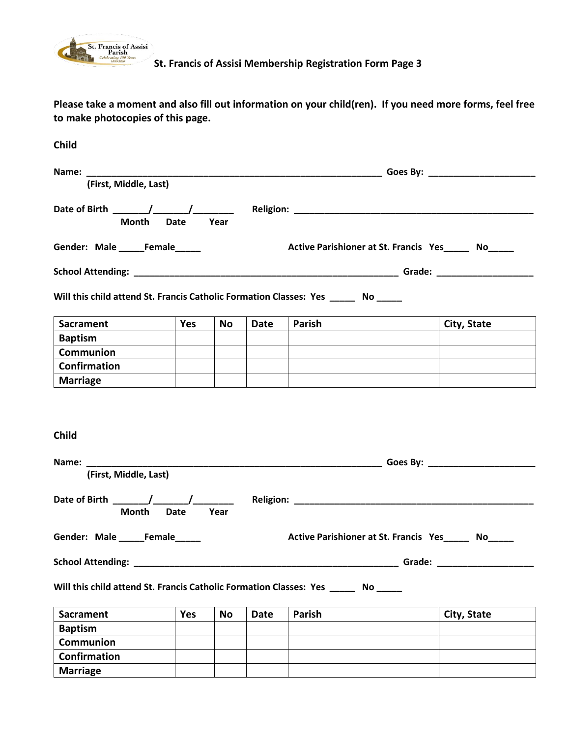

**Please take a moment and also fill out information on your child(ren). If you need more forms, feel free to make photocopies of this page.**

| Child                                                                                |             |           |             |                                                     |  |                                                                                                                                                                                                                                |
|--------------------------------------------------------------------------------------|-------------|-----------|-------------|-----------------------------------------------------|--|--------------------------------------------------------------------------------------------------------------------------------------------------------------------------------------------------------------------------------|
|                                                                                      |             |           |             |                                                     |  |                                                                                                                                                                                                                                |
| (First, Middle, Last)                                                                |             |           |             |                                                     |  |                                                                                                                                                                                                                                |
| <b>Month</b>                                                                         | Year        |           |             |                                                     |  |                                                                                                                                                                                                                                |
| Gender: Male ______Female______                                                      |             |           |             | Active Parishioner at St. Francis Yes______ No_____ |  |                                                                                                                                                                                                                                |
|                                                                                      |             |           |             |                                                     |  |                                                                                                                                                                                                                                |
| Will this child attend St. Francis Catholic Formation Classes: Yes _______ No ______ |             |           |             |                                                     |  |                                                                                                                                                                                                                                |
| <b>Sacrament</b>                                                                     | Yes         | <b>No</b> | Date        | Parish                                              |  | <b>City, State</b>                                                                                                                                                                                                             |
| <b>Baptism</b>                                                                       |             |           |             |                                                     |  |                                                                                                                                                                                                                                |
| <b>Communion</b>                                                                     |             |           |             |                                                     |  |                                                                                                                                                                                                                                |
| Confirmation                                                                         |             |           |             |                                                     |  |                                                                                                                                                                                                                                |
| <b>Marriage</b>                                                                      |             |           |             |                                                     |  |                                                                                                                                                                                                                                |
| <b>Child</b>                                                                         |             |           |             |                                                     |  |                                                                                                                                                                                                                                |
| (First, Middle, Last)                                                                |             |           |             |                                                     |  |                                                                                                                                                                                                                                |
| Month                                                                                | <b>Date</b> | Year      |             |                                                     |  |                                                                                                                                                                                                                                |
| Gender: Male Female                                                                  |             |           |             | Active Parishioner at St. Francis Yes No            |  |                                                                                                                                                                                                                                |
| <b>School Attending:</b>                                                             |             |           |             |                                                     |  | Grade: New York State State State State State State State State State State State State State State State State State State State State State State State State State State State State State State State State State State St |
| Will this child attend St. Francis Catholic Formation Classes: Yes ______ No         |             |           |             |                                                     |  |                                                                                                                                                                                                                                |
| <b>Sacrament</b>                                                                     | Yes         | <b>No</b> | <b>Date</b> | Parish                                              |  | City, State                                                                                                                                                                                                                    |
| <b>Baptism</b>                                                                       |             |           |             |                                                     |  |                                                                                                                                                                                                                                |
| <b>Communion</b>                                                                     |             |           |             |                                                     |  |                                                                                                                                                                                                                                |
| <b>Confirmation</b>                                                                  |             |           |             |                                                     |  |                                                                                                                                                                                                                                |
| <b>Marriage</b>                                                                      |             |           |             |                                                     |  |                                                                                                                                                                                                                                |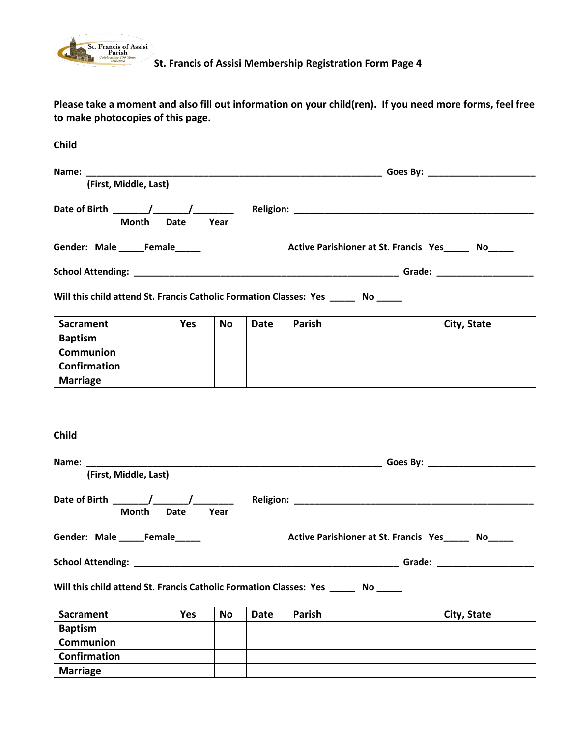

**Please take a moment and also fill out information on your child(ren). If you need more forms, feel free to make photocopies of this page.**

| Child                                                                                |             |           |             |                                                     |  |                                                                                                                                                                                                                                |
|--------------------------------------------------------------------------------------|-------------|-----------|-------------|-----------------------------------------------------|--|--------------------------------------------------------------------------------------------------------------------------------------------------------------------------------------------------------------------------------|
|                                                                                      |             |           |             |                                                     |  |                                                                                                                                                                                                                                |
| (First, Middle, Last)                                                                |             |           |             |                                                     |  |                                                                                                                                                                                                                                |
| <b>Month</b>                                                                         | Year        |           |             |                                                     |  |                                                                                                                                                                                                                                |
| Gender: Male ______Female______                                                      |             |           |             | Active Parishioner at St. Francis Yes______ No_____ |  |                                                                                                                                                                                                                                |
|                                                                                      |             |           |             |                                                     |  |                                                                                                                                                                                                                                |
| Will this child attend St. Francis Catholic Formation Classes: Yes _______ No ______ |             |           |             |                                                     |  |                                                                                                                                                                                                                                |
| <b>Sacrament</b>                                                                     | Yes         | <b>No</b> | Date        | Parish                                              |  | City, State                                                                                                                                                                                                                    |
| <b>Baptism</b>                                                                       |             |           |             |                                                     |  |                                                                                                                                                                                                                                |
| <b>Communion</b>                                                                     |             |           |             |                                                     |  |                                                                                                                                                                                                                                |
| Confirmation                                                                         |             |           |             |                                                     |  |                                                                                                                                                                                                                                |
| <b>Marriage</b>                                                                      |             |           |             |                                                     |  |                                                                                                                                                                                                                                |
| <b>Child</b>                                                                         |             |           |             |                                                     |  |                                                                                                                                                                                                                                |
| (First, Middle, Last)                                                                |             |           |             |                                                     |  |                                                                                                                                                                                                                                |
| Month                                                                                | <b>Date</b> | Year      |             |                                                     |  |                                                                                                                                                                                                                                |
| Gender: Male _____Female                                                             |             |           |             | Active Parishioner at St. Francis Yes No            |  |                                                                                                                                                                                                                                |
| <b>School Attending:</b>                                                             |             |           |             |                                                     |  | Grade: New York State State State State State State State State State State State State State State State State State State State State State State State State State State State State State State State State State State St |
| Will this child attend St. Francis Catholic Formation Classes: Yes ______ No         |             |           |             |                                                     |  |                                                                                                                                                                                                                                |
| <b>Sacrament</b>                                                                     | Yes         | <b>No</b> | <b>Date</b> | Parish                                              |  | City, State                                                                                                                                                                                                                    |
| <b>Baptism</b>                                                                       |             |           |             |                                                     |  |                                                                                                                                                                                                                                |
| <b>Communion</b>                                                                     |             |           |             |                                                     |  |                                                                                                                                                                                                                                |
| <b>Confirmation</b>                                                                  |             |           |             |                                                     |  |                                                                                                                                                                                                                                |
| <b>Marriage</b>                                                                      |             |           |             |                                                     |  |                                                                                                                                                                                                                                |